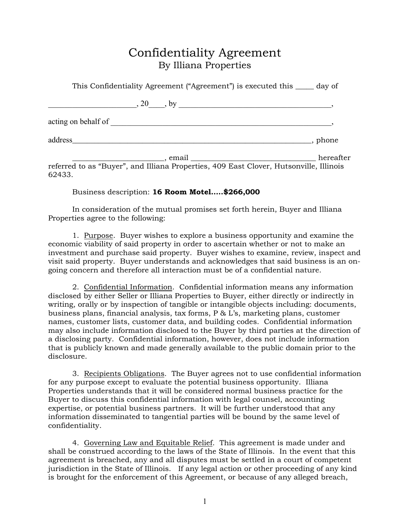## Confidentiality Agreement By Illiana Properties

| This Confidentiality Agreement ("Agreement") is executed this _____ day of                        |           |
|---------------------------------------------------------------------------------------------------|-----------|
|                                                                                                   |           |
|                                                                                                   |           |
| $\blacksquare$ , phone                                                                            |           |
| , email<br>referred to as "Buver", and Illiana Properties, 409 East Clover, Hutsonville, Illinois | hereafter |

referred to as "Buyer", and Illiana Properties, 409 East Clover, Hutsonville, Illinois 62433.

## Business description: **16 Room Motel…..\$266,000**

In consideration of the mutual promises set forth herein, Buyer and Illiana Properties agree to the following:

1. Purpose. Buyer wishes to explore a business opportunity and examine the economic viability of said property in order to ascertain whether or not to make an investment and purchase said property. Buyer wishes to examine, review, inspect and visit said property. Buyer understands and acknowledges that said business is an ongoing concern and therefore all interaction must be of a confidential nature.

2. Confidential Information. Confidential information means any information disclosed by either Seller or Illiana Properties to Buyer, either directly or indirectly in writing, orally or by inspection of tangible or intangible objects including: documents, business plans, financial analysis, tax forms, P & L's, marketing plans, customer names, customer lists, customer data, and building codes. Confidential information may also include information disclosed to the Buyer by third parties at the direction of a disclosing party. Confidential information, however, does not include information that is publicly known and made generally available to the public domain prior to the disclosure.

3. Recipients Obligations. The Buyer agrees not to use confidential information for any purpose except to evaluate the potential business opportunity. Illiana Properties understands that it will be considered normal business practice for the Buyer to discuss this confidential information with legal counsel, accounting expertise, or potential business partners. It will be further understood that any information disseminated to tangential parties will be bound by the same level of confidentiality.

4. Governing Law and Equitable Relief. This agreement is made under and shall be construed according to the laws of the State of Illinois. In the event that this agreement is breached, any and all disputes must be settled in a court of competent jurisdiction in the State of Illinois. If any legal action or other proceeding of any kind is brought for the enforcement of this Agreement, or because of any alleged breach,